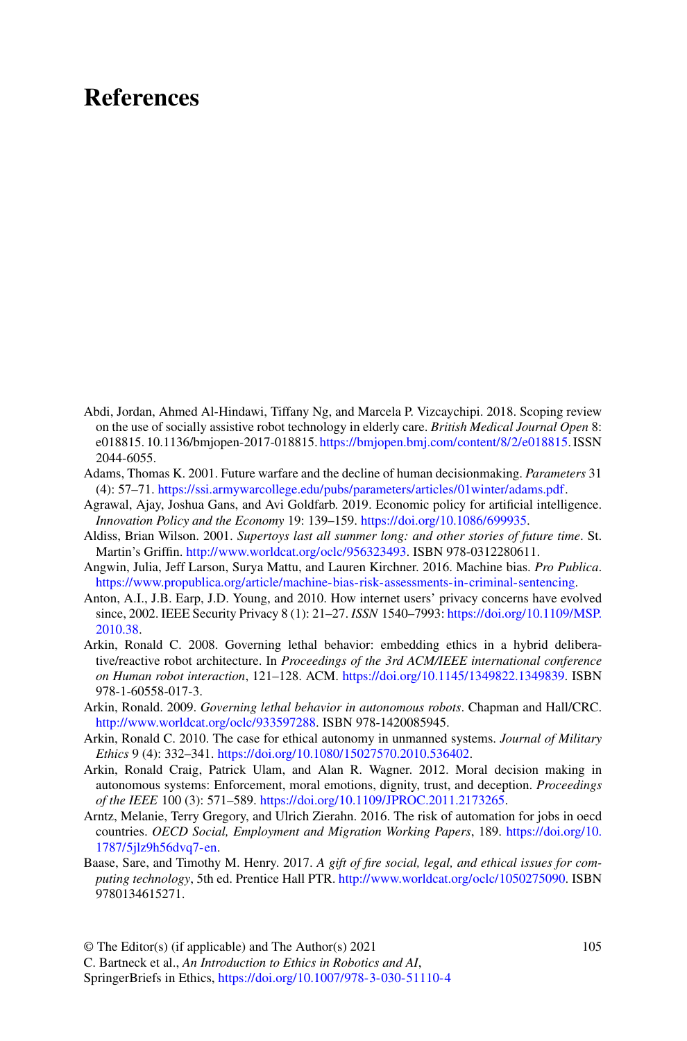# **References**

- Abdi, Jordan, Ahmed Al-Hindawi, Tiffany Ng, and Marcela P. Vizcaychipi. 2018. Scoping review on the use of socially assistive robot technology in elderly care. *British Medical Journal Open* 8: e018815. 10.1136/bmjopen-2017-018815. [https://bmjopen.bmj.com/content/8/2/e018815.](https://bmjopen.bmj.com/content/8/2/e018815) ISSN 2044-6055.
- Adams, Thomas K. 2001. Future warfare and the decline of human decisionmaking. *Parameters* 31 (4): 57–71. [https://ssi.armywarcollege.edu/pubs/parameters/articles/01winter/adams.pdf.](https://ssi.armywarcollege.edu/pubs/parameters/articles/01winter/adams.pdf)
- Agrawal, Ajay, Joshua Gans, and Avi Goldfarb. 2019. Economic policy for artificial intelligence. *Innovation Policy and the Economy* 19: 139–159. [https://doi.org/10.1086/699935.](https://doi.org/10.1086/699935)
- Aldiss, Brian Wilson. 2001. *Supertoys last all summer long: and other stories of future time*. St. Martin's Griffin. [http://www.worldcat.org/oclc/956323493.](http://www.worldcat.org/oclc/956323493) ISBN 978-0312280611.
- Angwin, Julia, Jeff Larson, Surya Mattu, and Lauren Kirchner. 2016. Machine bias. *Pro Publica*. [https://www.propublica.org/article/machine-bias-risk-assessments-in-criminal-sentencing.](https://www.propublica.org/article/machine-bias-risk-assessments-in-criminal-sentencing)
- Anton, A.I., J.B. Earp, J.D. Young, and 2010. How internet users' privacy concerns have evolved since, 2002. IEEE Security Privacy 8 (1): 21–27. *ISSN* 1540–7993: [https://doi.org/10.1109/MSP.](https://doi.org/10.1109/MSP.2010.38) [2010.38.](https://doi.org/10.1109/MSP.2010.38)
- Arkin, Ronald C. 2008. Governing lethal behavior: embedding ethics in a hybrid deliberative/reactive robot architecture. In *Proceedings of the 3rd ACM/IEEE international conference on Human robot interaction*, 121–128. ACM. [https://doi.org/10.1145/1349822.1349839.](https://doi.org/10.1145/1349822.1349839) ISBN 978-1-60558-017-3.
- Arkin, Ronald. 2009. *Governing lethal behavior in autonomous robots*. Chapman and Hall/CRC. [http://www.worldcat.org/oclc/933597288.](http://www.worldcat.org/oclc/933597288) ISBN 978-1420085945.
- Arkin, Ronald C. 2010. The case for ethical autonomy in unmanned systems. *Journal of Military Ethics* 9 (4): 332–341. [https://doi.org/10.1080/15027570.2010.536402.](https://doi.org/10.1080/15027570.2010.536402)
- Arkin, Ronald Craig, Patrick Ulam, and Alan R. Wagner. 2012. Moral decision making in autonomous systems: Enforcement, moral emotions, dignity, trust, and deception. *Proceedings of the IEEE* 100 (3): 571–589. [https://doi.org/10.1109/JPROC.2011.2173265.](https://doi.org/10.1109/JPROC.2011.2173265)
- Arntz, Melanie, Terry Gregory, and Ulrich Zierahn. 2016. The risk of automation for jobs in oecd countries. *OECD Social, Employment and Migration Working Papers*, 189. [https://doi.org/10.](https://doi.org/10.1787/5jlz9h56dvq7-en) [1787/5jlz9h56dvq7-en.](https://doi.org/10.1787/5jlz9h56dvq7-en)
- Baase, Sare, and Timothy M. Henry. 2017. *A gift of fire social, legal, and ethical issues for computing technology*, 5th ed. Prentice Hall PTR. [http://www.worldcat.org/oclc/1050275090.](http://www.worldcat.org/oclc/1050275090) ISBN 9780134615271.

SpringerBriefs in Ethics, <https://doi.org/10.1007/978-3-030-51110-4>

<sup>©</sup> The Editor(s) (if applicable) and The Author(s) 2021

C. Bartneck et al., *An Introduction to Ethics in Robotics and AI*,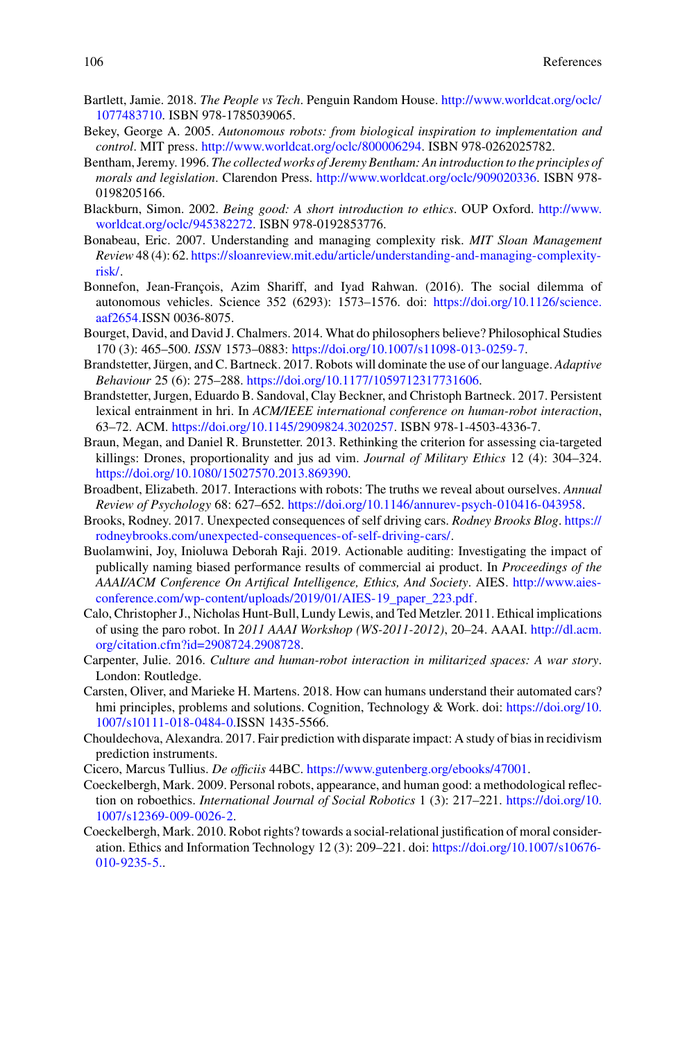- Bartlett, Jamie. 2018. *The People vs Tech*. Penguin Random House. [http://www.worldcat.org/oclc/](http://www.worldcat.org/oclc/1077483710) [1077483710.](http://www.worldcat.org/oclc/1077483710) ISBN 978-1785039065.
- Bekey, George A. 2005. *Autonomous robots: from biological inspiration to implementation and control*. MIT press. [http://www.worldcat.org/oclc/800006294.](http://www.worldcat.org/oclc/800006294) ISBN 978-0262025782.
- Bentham, Jeremy. 1996. *The collected works of Jeremy Bentham: An introduction to the principles of morals and legislation*. Clarendon Press. [http://www.worldcat.org/oclc/909020336.](http://www.worldcat.org/oclc/909020336) ISBN 978- 0198205166.
- Blackburn, Simon. 2002. *Being good: A short introduction to ethics*. OUP Oxford. [http://www.](http://www.worldcat.org/oclc/945382272) [worldcat.org/oclc/945382272.](http://www.worldcat.org/oclc/945382272) ISBN 978-0192853776.
- Bonabeau, Eric. 2007. Understanding and managing complexity risk. *MIT Sloan Management Review* 48 (4): 62. [https://sloanreview.mit.edu/article/understanding-and-managing-complexity](https://sloanreview.mit.edu/article/understanding-and-managing-complexity-risk/)[risk/.](https://sloanreview.mit.edu/article/understanding-and-managing-complexity-risk/)
- Bonnefon, Jean-François, Azim Shariff, and Iyad Rahwan. (2016). The social dilemma of autonomous vehicles. Science 352 (6293): 1573–1576. doi: [https://doi.org/10.1126/science.](https://doi.org/10.1126/science.aaf2654.) [aaf2654.I](https://doi.org/10.1126/science.aaf2654.)SSN 0036-8075.
- Bourget, David, and David J. Chalmers. 2014. What do philosophers believe? Philosophical Studies 170 (3): 465–500. *ISSN* 1573–0883: [https://doi.org/10.1007/s11098-013-0259-7.](https://doi.org/10.1007/s11098-013-0259-7)
- Brandstetter, Jürgen, and C. Bartneck. 2017. Robots will dominate the use of our language. *Adaptive Behaviour* 25 (6): 275–288. [https://doi.org/10.1177/1059712317731606.](https://doi.org/10.1177/1059712317731606)
- Brandstetter, Jurgen, Eduardo B. Sandoval, Clay Beckner, and Christoph Bartneck. 2017. Persistent lexical entrainment in hri. In *ACM/IEEE international conference on human-robot interaction*, 63–72. ACM. [https://doi.org/10.1145/2909824.3020257.](https://doi.org/10.1145/2909824.3020257) ISBN 978-1-4503-4336-7.
- Braun, Megan, and Daniel R. Brunstetter. 2013. Rethinking the criterion for assessing cia-targeted killings: Drones, proportionality and jus ad vim. *Journal of Military Ethics* 12 (4): 304–324. [https://doi.org/10.1080/15027570.2013.869390.](https://doi.org/10.1080/15027570.2013.869390)
- Broadbent, Elizabeth. 2017. Interactions with robots: The truths we reveal about ourselves. *Annual Review of Psychology* 68: 627–652. [https://doi.org/10.1146/annurev-psych-010416-043958.](https://doi.org/10.1146/annurev-psych-010416-043958)
- Brooks, Rodney. 2017. Unexpected consequences of self driving cars. *Rodney Brooks Blog*. [https://](https://rodneybrooks.com/unexpected-consequences-of-self-driving-cars/) [rodneybrooks.com/unexpected-consequences-of-self-driving-cars/.](https://rodneybrooks.com/unexpected-consequences-of-self-driving-cars/)
- Buolamwini, Joy, Inioluwa Deborah Raji. 2019. Actionable auditing: Investigating the impact of publically naming biased performance results of commercial ai product. In *Proceedings of the AAAI/ACM Conference On Artifical Intelligence, Ethics, And Society*. AIES. [http://www.aies](http://www.aies-conference.com/wp-content/uploads/2019/01/AIES-19_paper_223.pdf)[conference.com/wp-content/uploads/2019/01/AIES-19\\_paper\\_223.pdf.](http://www.aies-conference.com/wp-content/uploads/2019/01/AIES-19_paper_223.pdf)
- Calo, Christopher J., Nicholas Hunt-Bull, Lundy Lewis, and Ted Metzler. 2011. Ethical implications of using the paro robot. In *2011 AAAI Workshop (WS-2011-2012)*, 20–24. AAAI. [http://dl.acm.](http://dl.acm.org/citation.cfm?id=2908724.2908728) [org/citation.cfm?id=2908724.2908728.](http://dl.acm.org/citation.cfm?id=2908724.2908728)
- Carpenter, Julie. 2016. *Culture and human-robot interaction in militarized spaces: A war story*. London: Routledge.
- Carsten, Oliver, and Marieke H. Martens. 2018. How can humans understand their automated cars? hmi principles, problems and solutions. Cognition, Technology & Work. doi: [https://doi.org/10.](https://doi.org/10.1007/s10111-018-0484-0.) [1007/s10111-018-0484-0.I](https://doi.org/10.1007/s10111-018-0484-0.)SSN 1435-5566.
- Chouldechova, Alexandra. 2017. Fair prediction with disparate impact: A study of bias in recidivism prediction instruments.
- Cicero, Marcus Tullius. *De officiis* 44BC. [https://www.gutenberg.org/ebooks/47001.](https://www.gutenberg.org/ebooks/47001)
- Coeckelbergh, Mark. 2009. Personal robots, appearance, and human good: a methodological reflection on roboethics. *International Journal of Social Robotics* 1 (3): 217–221. [https://doi.org/10.](https://doi.org/10.1007/s12369-009-0026-2) [1007/s12369-009-0026-2.](https://doi.org/10.1007/s12369-009-0026-2)
- Coeckelbergh, Mark. 2010. Robot rights? towards a social-relational justification of moral consideration. Ethics and Information Technology 12 (3): 209–221. doi: [https://doi.org/10.1007/s10676-](https://doi.org/10.1007/s10676-010-9235-5.) [010-9235-5..](https://doi.org/10.1007/s10676-010-9235-5.)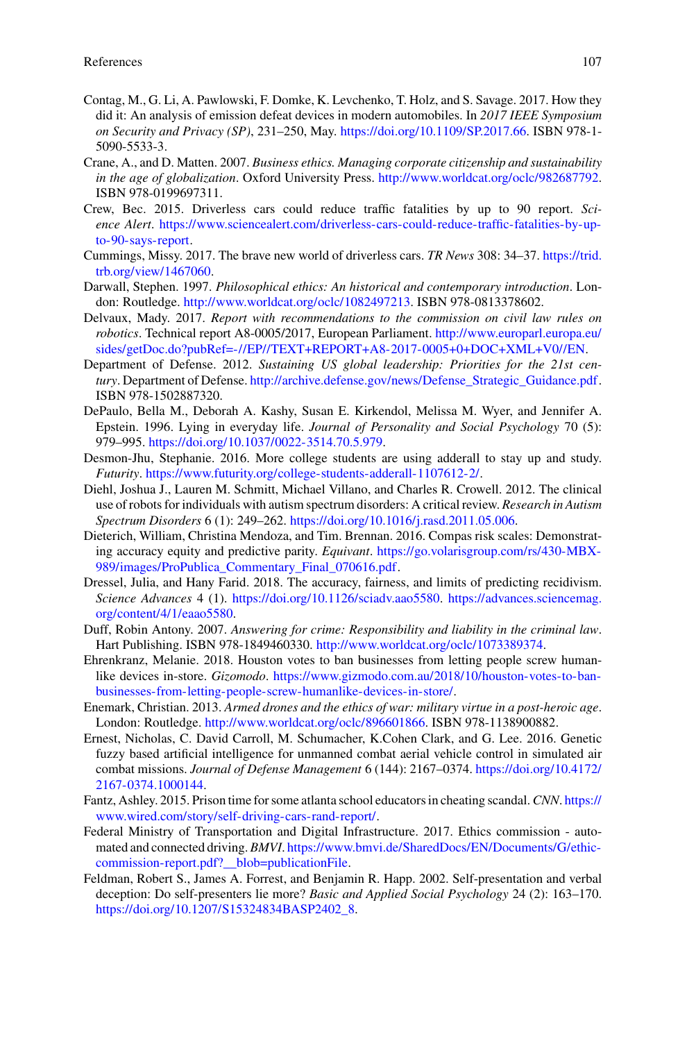- Contag, M., G. Li, A. Pawlowski, F. Domke, K. Levchenko, T. Holz, and S. Savage. 2017. How they did it: An analysis of emission defeat devices in modern automobiles. In *2017 IEEE Symposium on Security and Privacy (SP)*, 231–250, May. [https://doi.org/10.1109/SP.2017.66.](https://doi.org/10.1109/SP.2017.66) ISBN 978-1- 5090-5533-3.
- Crane, A., and D. Matten. 2007. *Business ethics. Managing corporate citizenship and sustainability in the age of globalization*. Oxford University Press. [http://www.worldcat.org/oclc/982687792.](http://www.worldcat.org/oclc/982687792) ISBN 978-0199697311.
- Crew, Bec. 2015. Driverless cars could reduce traffic fatalities by up to 90 report. *Science Alert*. [https://www.sciencealert.com/driverless-cars-could-reduce-traffic-fatalities-by-up](https://www.sciencealert.com/driverless-cars-could-reduce-traffic-fatalities-by-up-to-90-says-report)[to-90-says-report.](https://www.sciencealert.com/driverless-cars-could-reduce-traffic-fatalities-by-up-to-90-says-report)
- Cummings, Missy. 2017. The brave new world of driverless cars. *TR News* 308: 34–37. [https://trid.](https://trid.trb.org/view/1467060) [trb.org/view/1467060.](https://trid.trb.org/view/1467060)
- Darwall, Stephen. 1997. *Philosophical ethics: An historical and contemporary introduction*. London: Routledge. [http://www.worldcat.org/oclc/1082497213.](http://www.worldcat.org/oclc/1082497213) ISBN 978-0813378602.
- Delvaux, Mady. 2017. *Report with recommendations to the commission on civil law rules on robotics*. Technical report A8-0005/2017, European Parliament. [http://www.europarl.europa.eu/](http://www.europarl.europa.eu/sides/getDoc.do?pubRef=-//EP//TEXT+REPORT+A8-2017-0005+0+DOC+XML+V0//EN) [sides/getDoc.do?pubRef=-//EP//TEXT+REPORT+A8-2017-0005+0+DOC+XML+V0//EN.](http://www.europarl.europa.eu/sides/getDoc.do?pubRef=-//EP//TEXT+REPORT+A8-2017-0005+0+DOC+XML+V0//EN)
- Department of Defense. 2012. *Sustaining US global leadership: Priorities for the 21st century*. Department of Defense. [http://archive.defense.gov/news/Defense\\_Strategic\\_Guidance.pdf.](http://archive.defense.gov/news/Defense_Strategic_Guidance.pdf) ISBN 978-1502887320.
- DePaulo, Bella M., Deborah A. Kashy, Susan E. Kirkendol, Melissa M. Wyer, and Jennifer A. Epstein. 1996. Lying in everyday life. *Journal of Personality and Social Psychology* 70 (5): 979–995. [https://doi.org/10.1037/0022-3514.70.5.979.](https://doi.org/10.1037/0022-3514.70.5.979)
- Desmon-Jhu, Stephanie. 2016. More college students are using adderall to stay up and study. *Futurity*. [https://www.futurity.org/college-students-adderall-1107612-2/.](https://www.futurity.org/college-students-adderall-1107612-2/)
- Diehl, Joshua J., Lauren M. Schmitt, Michael Villano, and Charles R. Crowell. 2012. The clinical use of robots for individuals with autism spectrum disorders: A critical review. *Research in Autism Spectrum Disorders* 6 (1): 249–262. [https://doi.org/10.1016/j.rasd.2011.05.006.](https://doi.org/10.1016/j.rasd.2011.05.006)
- Dieterich, William, Christina Mendoza, and Tim. Brennan. 2016. Compas risk scales: Demonstrating accuracy equity and predictive parity. *Equivant*. [https://go.volarisgroup.com/rs/430-MBX-](https://go.volarisgroup.com/rs/430-MBX-989/images/ProPublica_Commentary_Final_070616.pdf)[989/images/ProPublica\\_Commentary\\_Final\\_070616.pdf.](https://go.volarisgroup.com/rs/430-MBX-989/images/ProPublica_Commentary_Final_070616.pdf)
- Dressel, Julia, and Hany Farid. 2018. The accuracy, fairness, and limits of predicting recidivism. *Science Advances* 4 (1). [https://doi.org/10.1126/sciadv.aao5580.](https://doi.org/10.1126/sciadv.aao5580) [https://advances.sciencemag.](https://advances.sciencemag.org/content/4/1/eaao5580) [org/content/4/1/eaao5580.](https://advances.sciencemag.org/content/4/1/eaao5580)
- Duff, Robin Antony. 2007. *Answering for crime: Responsibility and liability in the criminal law*. Hart Publishing. ISBN 978-1849460330. [http://www.worldcat.org/oclc/1073389374.](http://www.worldcat.org/oclc/1073389374)
- Ehrenkranz, Melanie. 2018. Houston votes to ban businesses from letting people screw humanlike devices in-store. *Gizomodo*. [https://www.gizmodo.com.au/2018/10/houston-votes-to-ban](https://www.gizmodo.com.au/2018/10/houston-votes-to-ban-businesses-from-letting-people-screw-humanlike-devices-in-store/)[businesses-from-letting-people-screw-humanlike-devices-in-store/.](https://www.gizmodo.com.au/2018/10/houston-votes-to-ban-businesses-from-letting-people-screw-humanlike-devices-in-store/)
- Enemark, Christian. 2013. *Armed drones and the ethics of war: military virtue in a post-heroic age*. London: Routledge. [http://www.worldcat.org/oclc/896601866.](http://www.worldcat.org/oclc/896601866) ISBN 978-1138900882.
- Ernest, Nicholas, C. David Carroll, M. Schumacher, K.Cohen Clark, and G. Lee. 2016. Genetic fuzzy based artificial intelligence for unmanned combat aerial vehicle control in simulated air combat missions. *Journal of Defense Management* 6 (144): 2167–0374. [https://doi.org/10.4172/](https://doi.org/10.4172/2167-0374.1000144) [2167-0374.1000144.](https://doi.org/10.4172/2167-0374.1000144)
- Fantz, Ashley. 2015. Prison time for some atlanta school educators in cheating scandal.*CNN*. [https://](https://www.wired.com/story/self-driving-cars-rand-report/) [www.wired.com/story/self-driving-cars-rand-report/.](https://www.wired.com/story/self-driving-cars-rand-report/)
- Federal Ministry of Transportation and Digital Infrastructure. 2017. Ethics commission automated and connected driving. *BMVI*. [https://www.bmvi.de/SharedDocs/EN/Documents/G/ethic](https://www.bmvi.de/SharedDocs/EN/Documents/G/ethic-commission-report.pdf?__blob=publicationFile)[commission-report.pdf?\\_\\_blob=publicationFile.](https://www.bmvi.de/SharedDocs/EN/Documents/G/ethic-commission-report.pdf?__blob=publicationFile)
- Feldman, Robert S., James A. Forrest, and Benjamin R. Happ. 2002. Self-presentation and verbal deception: Do self-presenters lie more? *Basic and Applied Social Psychology* 24 (2): 163–170. [https://doi.org/10.1207/S15324834BASP2402\\_8.](https://doi.org/10.1207/S15324834BASP2402_8)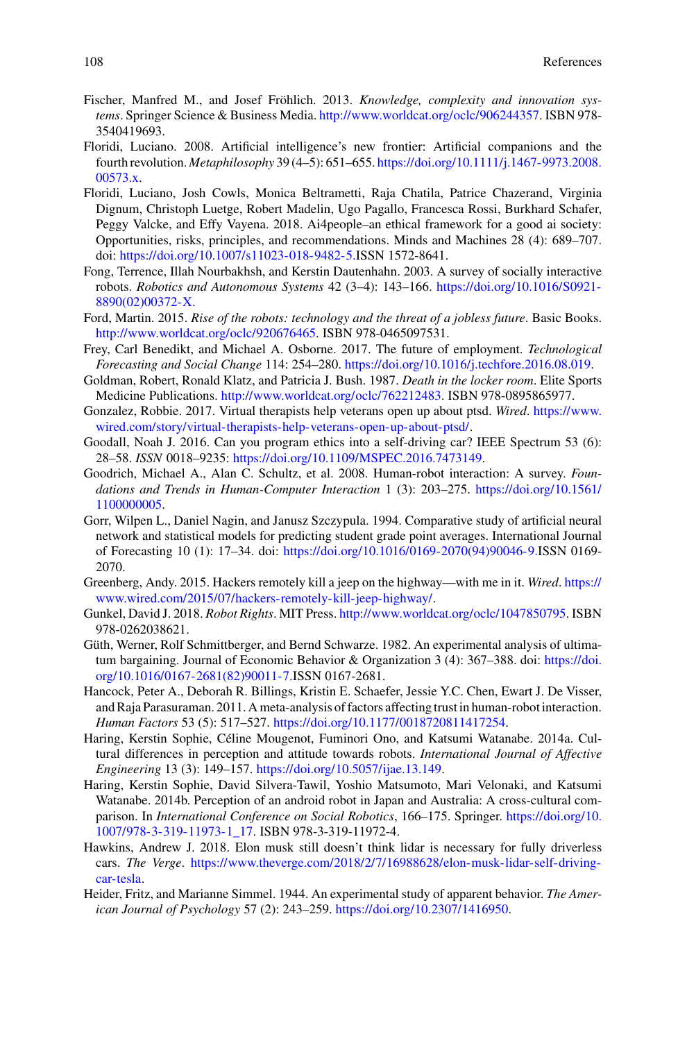- Fischer, Manfred M., and Josef Fröhlich. 2013. *Knowledge, complexity and innovation systems*. Springer Science & Business Media. [http://www.worldcat.org/oclc/906244357.](http://www.worldcat.org/oclc/906244357) ISBN 978- 3540419693.
- Floridi, Luciano. 2008. Artificial intelligence's new frontier: Artificial companions and the fourth revolution. *Metaphilosophy* 39 (4–5): 651–655. [https://doi.org/10.1111/j.1467-9973.2008.](https://doi.org/10.1111/j.1467-9973.2008.00573.x) [00573.x.](https://doi.org/10.1111/j.1467-9973.2008.00573.x)
- Floridi, Luciano, Josh Cowls, Monica Beltrametti, Raja Chatila, Patrice Chazerand, Virginia Dignum, Christoph Luetge, Robert Madelin, Ugo Pagallo, Francesca Rossi, Burkhard Schafer, Peggy Valcke, and Effy Vayena. 2018. Ai4people–an ethical framework for a good ai society: Opportunities, risks, principles, and recommendations. Minds and Machines 28 (4): 689–707. doi: [https://doi.org/10.1007/s11023-018-9482-5.I](https://doi.org/10.1007/s11023-018-9482-5.)SSN 1572-8641.
- Fong, Terrence, Illah Nourbakhsh, and Kerstin Dautenhahn. 2003. A survey of socially interactive robots. *Robotics and Autonomous Systems* 42 (3–4): 143–166. [https://doi.org/10.1016/S0921-](https://doi.org/10.1016/S0921-8890(02)00372-X) [8890\(02\)00372-X.](https://doi.org/10.1016/S0921-8890(02)00372-X)
- Ford, Martin. 2015. *Rise of the robots: technology and the threat of a jobless future*. Basic Books. [http://www.worldcat.org/oclc/920676465.](http://www.worldcat.org/oclc/920676465) ISBN 978-0465097531.
- Frey, Carl Benedikt, and Michael A. Osborne. 2017. The future of employment. *Technological Forecasting and Social Change* 114: 254–280. [https://doi.org/10.1016/j.techfore.2016.08.019.](https://doi.org/10.1016/j.techfore.2016.08.019)
- Goldman, Robert, Ronald Klatz, and Patricia J. Bush. 1987. *Death in the locker room*. Elite Sports Medicine Publications. [http://www.worldcat.org/oclc/762212483.](http://www.worldcat.org/oclc/762212483) ISBN 978-0895865977.
- Gonzalez, Robbie. 2017. Virtual therapists help veterans open up about ptsd. *Wired*. [https://www.](https://www.wired.com/story/virtual-therapists-help-veterans-open-up-about-ptsd/) [wired.com/story/virtual-therapists-help-veterans-open-up-about-ptsd/.](https://www.wired.com/story/virtual-therapists-help-veterans-open-up-about-ptsd/)
- Goodall, Noah J. 2016. Can you program ethics into a self-driving car? IEEE Spectrum 53 (6): 28–58. *ISSN* 0018–9235: [https://doi.org/10.1109/MSPEC.2016.7473149.](https://doi.org/10.1109/MSPEC.2016.7473149)
- Goodrich, Michael A., Alan C. Schultz, et al. 2008. Human-robot interaction: A survey. *Foundations and Trends in Human-Computer Interaction* 1 (3): 203–275. [https://doi.org/10.1561/](https://doi.org/10.1561/1100000005) [1100000005.](https://doi.org/10.1561/1100000005)
- Gorr, Wilpen L., Daniel Nagin, and Janusz Szczypula. 1994. Comparative study of artificial neural network and statistical models for predicting student grade point averages. International Journal of Forecasting 10 (1): 17–34. doi: [https://doi.org/10.1016/0169-2070\(94\)90046-9.I](https://doi.org/10.1016/0169-2070(94)90046-9.)SSN 0169- 2070.
- Greenberg, Andy. 2015. Hackers remotely kill a jeep on the highway—with me in it. *Wired*. [https://](https://www.wired.com/2015/07/hackers-remotely-kill-jeep-highway/) [www.wired.com/2015/07/hackers-remotely-kill-jeep-highway/.](https://www.wired.com/2015/07/hackers-remotely-kill-jeep-highway/)
- Gunkel, David J. 2018. *Robot Rights*. MIT Press. [http://www.worldcat.org/oclc/1047850795.](http://www.worldcat.org/oclc/1047850795) ISBN 978-0262038621.
- Güth, Werner, Rolf Schmittberger, and Bernd Schwarze. 1982. An experimental analysis of ultimatum bargaining. Journal of Economic Behavior & Organization 3 (4): 367–388. doi: [https://doi.](https://doi.org/10.1016/0167-2681(82)90011-7.) [org/10.1016/0167-2681\(82\)90011-7.I](https://doi.org/10.1016/0167-2681(82)90011-7.)SSN 0167-2681.
- Hancock, Peter A., Deborah R. Billings, Kristin E. Schaefer, Jessie Y.C. Chen, Ewart J. De Visser, and Raja Parasuraman. 2011. A meta-analysis of factors affecting trust in human-robot interaction. *Human Factors* 53 (5): 517–527. [https://doi.org/10.1177/0018720811417254.](https://doi.org/10.1177/0018720811417254)
- Haring, Kerstin Sophie, Céline Mougenot, Fuminori Ono, and Katsumi Watanabe. 2014a. Cultural differences in perception and attitude towards robots. *International Journal of Affective Engineering* 13 (3): 149–157. [https://doi.org/10.5057/ijae.13.149.](https://doi.org/10.5057/ijae.13.149)
- Haring, Kerstin Sophie, David Silvera-Tawil, Yoshio Matsumoto, Mari Velonaki, and Katsumi Watanabe. 2014b. Perception of an android robot in Japan and Australia: A cross-cultural comparison. In *International Conference on Social Robotics*, 166–175. Springer. [https://doi.org/10.](https://doi.org/10.1007/978-3-319-11973-1_17) [1007/978-3-319-11973-1\\_17.](https://doi.org/10.1007/978-3-319-11973-1_17) ISBN 978-3-319-11972-4.
- Hawkins, Andrew J. 2018. Elon musk still doesn't think lidar is necessary for fully driverless cars. *The Verge*. [https://www.theverge.com/2018/2/7/16988628/elon-musk-lidar-self-driving](https://www.theverge.com/2018/2/7/16988628/elon-musk-lidar-self-driving-car-tesla)[car-tesla.](https://www.theverge.com/2018/2/7/16988628/elon-musk-lidar-self-driving-car-tesla)
- Heider, Fritz, and Marianne Simmel. 1944. An experimental study of apparent behavior. *The American Journal of Psychology* 57 (2): 243–259. [https://doi.org/10.2307/1416950.](https://doi.org/10.2307/1416950)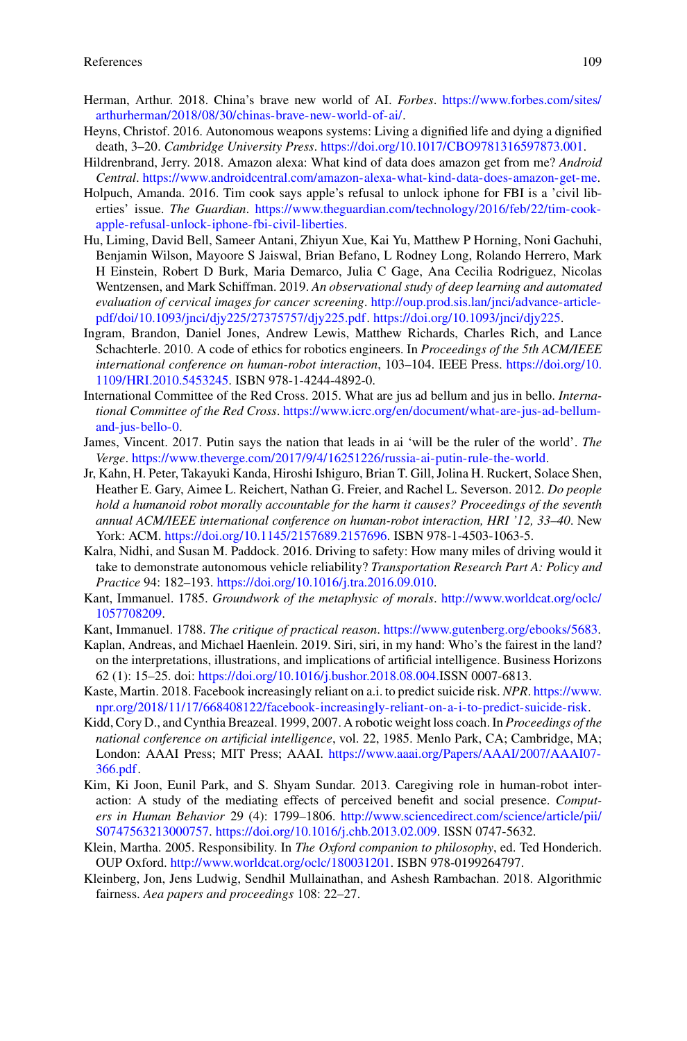- Herman, Arthur. 2018. China's brave new world of AI. *Forbes*. [https://www.forbes.com/sites/](https://www.forbes.com/sites/arthurherman/2018/08/30/chinas-brave-new-world-of-ai/) [arthurherman/2018/08/30/chinas-brave-new-world-of-ai/.](https://www.forbes.com/sites/arthurherman/2018/08/30/chinas-brave-new-world-of-ai/)
- Heyns, Christof. 2016. Autonomous weapons systems: Living a dignified life and dying a dignified death, 3–20. *Cambridge University Press*. [https://doi.org/10.1017/CBO9781316597873.001.](https://doi.org/10.1017/CBO9781316597873.001)
- Hildrenbrand, Jerry. 2018. Amazon alexa: What kind of data does amazon get from me? *Android Central*. [https://www.androidcentral.com/amazon-alexa-what-kind-data-does-amazon-get-me.](https://www.androidcentral.com/amazon-alexa-what-kind-data-does-amazon-get-me)
- Holpuch, Amanda. 2016. Tim cook says apple's refusal to unlock iphone for FBI is a 'civil liberties' issue. *The Guardian*. [https://www.theguardian.com/technology/2016/feb/22/tim-cook](https://www.theguardian.com/technology/2016/feb/22/tim-cook-apple-refusal-unlock-iphone-fbi-civil-liberties)[apple-refusal-unlock-iphone-fbi-civil-liberties.](https://www.theguardian.com/technology/2016/feb/22/tim-cook-apple-refusal-unlock-iphone-fbi-civil-liberties)
- Hu, Liming, David Bell, Sameer Antani, Zhiyun Xue, Kai Yu, Matthew P Horning, Noni Gachuhi, Benjamin Wilson, Mayoore S Jaiswal, Brian Befano, L Rodney Long, Rolando Herrero, Mark H Einstein, Robert D Burk, Maria Demarco, Julia C Gage, Ana Cecilia Rodriguez, Nicolas Wentzensen, and Mark Schiffman. 2019. *An observational study of deep learning and automated evaluation of cervical images for cancer screening*. [http://oup.prod.sis.lan/jnci/advance-article](http://oup.prod.sis.lan/jnci/advance-article-pdf/doi/10.1093/jnci/djy225/27375757/djy225.pdf)[pdf/doi/10.1093/jnci/djy225/27375757/djy225.pdf.](http://oup.prod.sis.lan/jnci/advance-article-pdf/doi/10.1093/jnci/djy225/27375757/djy225.pdf) [https://doi.org/10.1093/jnci/djy225.](https://doi.org/10.1093/jnci/djy225)
- Ingram, Brandon, Daniel Jones, Andrew Lewis, Matthew Richards, Charles Rich, and Lance Schachterle. 2010. A code of ethics for robotics engineers. In *Proceedings of the 5th ACM/IEEE international conference on human-robot interaction*, 103–104. IEEE Press. [https://doi.org/10.](https://doi.org/10.1109/HRI.2010.5453245) [1109/HRI.2010.5453245.](https://doi.org/10.1109/HRI.2010.5453245) ISBN 978-1-4244-4892-0.
- International Committee of the Red Cross. 2015. What are jus ad bellum and jus in bello. *International Committee of the Red Cross*. [https://www.icrc.org/en/document/what-are-jus-ad-bellum](https://www.icrc.org/en/document/what-are-jus-ad-bellum-and-jus-bello-0)[and-jus-bello-0.](https://www.icrc.org/en/document/what-are-jus-ad-bellum-and-jus-bello-0)
- James, Vincent. 2017. Putin says the nation that leads in ai 'will be the ruler of the world'. *The Verge*. [https://www.theverge.com/2017/9/4/16251226/russia-ai-putin-rule-the-world.](https://www.theverge.com/2017/9/4/16251226/russia-ai-putin-rule-the-world)
- Jr, Kahn, H. Peter, Takayuki Kanda, Hiroshi Ishiguro, Brian T. Gill, Jolina H. Ruckert, Solace Shen, Heather E. Gary, Aimee L. Reichert, Nathan G. Freier, and Rachel L. Severson. 2012. *Do people hold a humanoid robot morally accountable for the harm it causes? Proceedings of the seventh annual ACM/IEEE international conference on human-robot interaction, HRI '12, 33–40*. New York: ACM. [https://doi.org/10.1145/2157689.2157696.](https://doi.org/10.1145/2157689.2157696) ISBN 978-1-4503-1063-5.
- Kalra, Nidhi, and Susan M. Paddock. 2016. Driving to safety: How many miles of driving would it take to demonstrate autonomous vehicle reliability? *Transportation Research Part A: Policy and Practice* 94: 182–193. [https://doi.org/10.1016/j.tra.2016.09.010.](https://doi.org/10.1016/j.tra.2016.09.010)
- Kant, Immanuel. 1785. *Groundwork of the metaphysic of morals*. [http://www.worldcat.org/oclc/](http://www.worldcat.org/oclc/1057708209) [1057708209.](http://www.worldcat.org/oclc/1057708209)
- Kant, Immanuel. 1788. *The critique of practical reason*. [https://www.gutenberg.org/ebooks/5683.](https://www.gutenberg.org/ebooks/5683)
- Kaplan, Andreas, and Michael Haenlein. 2019. Siri, siri, in my hand: Who's the fairest in the land? on the interpretations, illustrations, and implications of artificial intelligence. Business Horizons 62 (1): 15–25. doi: [https://doi.org/10.1016/j.bushor.2018.08.004.I](https://doi.org/10.1016/j.bushor.2018.08.004.)SSN 0007-6813.
- Kaste, Martin. 2018. Facebook increasingly reliant on a.i. to predict suicide risk. *NPR*. [https://www.](https://www.npr.org/2018/11/17/668408122/facebook-increasingly-reliant-on-a-i-to-predict-suicide-risk) [npr.org/2018/11/17/668408122/facebook-increasingly-reliant-on-a-i-to-predict-suicide-risk.](https://www.npr.org/2018/11/17/668408122/facebook-increasingly-reliant-on-a-i-to-predict-suicide-risk)
- Kidd, Cory D., and Cynthia Breazeal. 1999, 2007. A robotic weight loss coach. In *Proceedings of the national conference on artificial intelligence*, vol. 22, 1985. Menlo Park, CA; Cambridge, MA; London: AAAI Press; MIT Press; AAAI. [https://www.aaai.org/Papers/AAAI/2007/AAAI07-](https://www.aaai.org/Papers/AAAI/2007/AAAI07-366.pdf) [366.pdf.](https://www.aaai.org/Papers/AAAI/2007/AAAI07-366.pdf)
- Kim, Ki Joon, Eunil Park, and S. Shyam Sundar. 2013. Caregiving role in human-robot interaction: A study of the mediating effects of perceived benefit and social presence. *Computers in Human Behavior* 29 (4): 1799–1806. [http://www.sciencedirect.com/science/article/pii/](http://www.sciencedirect.com/science/article/pii/S0747563213000757) [S0747563213000757.](http://www.sciencedirect.com/science/article/pii/S0747563213000757) [https://doi.org/10.1016/j.chb.2013.02.009.](https://doi.org/10.1016/j.chb.2013.02.009) ISSN 0747-5632.
- Klein, Martha. 2005. Responsibility. In *The Oxford companion to philosophy*, ed. Ted Honderich. OUP Oxford. [http://www.worldcat.org/oclc/180031201.](http://www.worldcat.org/oclc/180031201) ISBN 978-0199264797.
- Kleinberg, Jon, Jens Ludwig, Sendhil Mullainathan, and Ashesh Rambachan. 2018. Algorithmic fairness. *Aea papers and proceedings* 108: 22–27.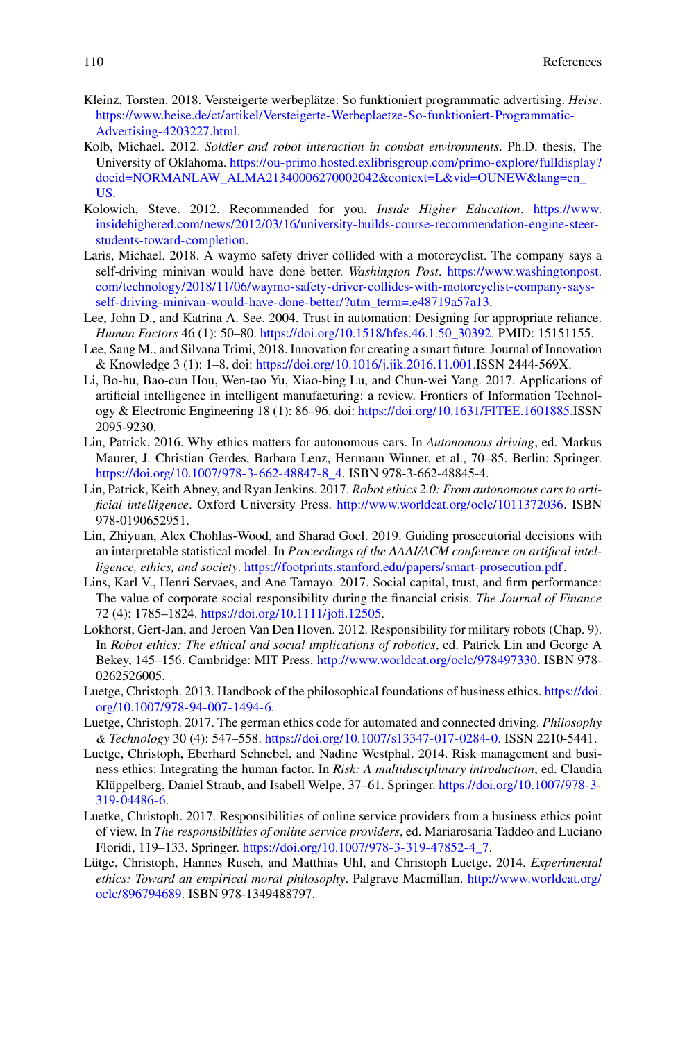- Kleinz, Torsten. 2018. Versteigerte werbeplätze: So funktioniert programmatic advertising. *Heise*. [https://www.heise.de/ct/artikel/Versteigerte-Werbeplaetze-So-funktioniert-Programmatic-](https://www.heise.de/ct/artikel/Versteigerte-Werbeplaetze-So-funktioniert-Programmatic-Advertising-4203227.html)[Advertising-4203227.html.](https://www.heise.de/ct/artikel/Versteigerte-Werbeplaetze-So-funktioniert-Programmatic-Advertising-4203227.html)
- Kolb, Michael. 2012. *Soldier and robot interaction in combat environments*. Ph.D. thesis, The University of Oklahoma. [https://ou-primo.hosted.exlibrisgroup.com/primo-explore/fulldisplay?](https://ou-primo.hosted.exlibrisgroup.com/primo-explore/fulldisplay?docid=NORMANLAW_ALMA21340006270002042&context=L&vid=OUNEW&lang=en_US) [docid=NORMANLAW\\_ALMA21340006270002042&context=L&vid=OUNEW&lang=en\\_](https://ou-primo.hosted.exlibrisgroup.com/primo-explore/fulldisplay?docid=NORMANLAW_ALMA21340006270002042&context=L&vid=OUNEW&lang=en_US) [US.](https://ou-primo.hosted.exlibrisgroup.com/primo-explore/fulldisplay?docid=NORMANLAW_ALMA21340006270002042&context=L&vid=OUNEW&lang=en_US)
- Kolowich, Steve. 2012. Recommended for you. *Inside Higher Education*. [https://www.](https://www.insidehighered.com/news/2012/03/16/university-builds-course-recommendation-engine-steer-students-toward-completion) [insidehighered.com/news/2012/03/16/university-builds-course-recommendation-engine-steer](https://www.insidehighered.com/news/2012/03/16/university-builds-course-recommendation-engine-steer-students-toward-completion)[students-toward-completion.](https://www.insidehighered.com/news/2012/03/16/university-builds-course-recommendation-engine-steer-students-toward-completion)
- Laris, Michael. 2018. A waymo safety driver collided with a motorcyclist. The company says a self-driving minivan would have done better. *Washington Post*. [https://www.washingtonpost.](https://www.washingtonpost.com/technology/2018/11/06/waymo-safety-driver-collides-with-motorcyclist-company-says-self-driving-minivan-would-have-done-better/?utm_term=.e48719a57a13) [com/technology/2018/11/06/waymo-safety-driver-collides-with-motorcyclist-company-says](https://www.washingtonpost.com/technology/2018/11/06/waymo-safety-driver-collides-with-motorcyclist-company-says-self-driving-minivan-would-have-done-better/?utm_term=.e48719a57a13)[self-driving-minivan-would-have-done-better/?utm\\_term=.e48719a57a13.](https://www.washingtonpost.com/technology/2018/11/06/waymo-safety-driver-collides-with-motorcyclist-company-says-self-driving-minivan-would-have-done-better/?utm_term=.e48719a57a13)
- Lee, John D., and Katrina A. See. 2004. Trust in automation: Designing for appropriate reliance. *Human Factors* 46 (1): 50–80. [https://doi.org/10.1518/hfes.46.1.50\\_30392.](https://doi.org/10.1518/hfes.46.1.50_30392) PMID: 15151155.
- Lee, Sang M., and Silvana Trimi, 2018. Innovation for creating a smart future. Journal of Innovation & Knowledge 3 (1): 1–8. doi: [https://doi.org/10.1016/j.jik.2016.11.001.I](https://doi.org/10.1016/j.jik.2016.11.001.)SSN 2444-569X.
- Li, Bo-hu, Bao-cun Hou, Wen-tao Yu, Xiao-bing Lu, and Chun-wei Yang. 2017. Applications of artificial intelligence in intelligent manufacturing: a review. Frontiers of Information Technology & Electronic Engineering 18 (1): 86–96. doi: [https://doi.org/10.1631/FITEE.1601885.I](https://doi.org/10.1631/FITEE.1601885.)SSN 2095-9230.
- Lin, Patrick. 2016. Why ethics matters for autonomous cars. In *Autonomous driving*, ed. Markus Maurer, J. Christian Gerdes, Barbara Lenz, Hermann Winner, et al., 70–85. Berlin: Springer. [https://doi.org/10.1007/978-3-662-48847-8\\_4.](https://doi.org/10.1007/978-3-662-48847-8_4) ISBN 978-3-662-48845-4.
- Lin, Patrick, Keith Abney, and Ryan Jenkins. 2017. *Robot ethics 2.0: From autonomous cars to artificial intelligence*. Oxford University Press. [http://www.worldcat.org/oclc/1011372036.](http://www.worldcat.org/oclc/1011372036) ISBN 978-0190652951.
- Lin, Zhiyuan, Alex Chohlas-Wood, and Sharad Goel. 2019. Guiding prosecutorial decisions with an interpretable statistical model. In *Proceedings of the AAAI/ACM conference on artifical intelligence, ethics, and society*. [https://footprints.stanford.edu/papers/smart-prosecution.pdf.](https://footprints.stanford.edu/papers/smart-prosecution.pdf)
- Lins, Karl V., Henri Servaes, and Ane Tamayo. 2017. Social capital, trust, and firm performance: The value of corporate social responsibility during the financial crisis. *The Journal of Finance* 72 (4): 1785–1824. [https://doi.org/10.1111/jofi.12505.](https://doi.org/10.1111/jofi.12505)
- Lokhorst, Gert-Jan, and Jeroen Van Den Hoven. 2012. Responsibility for military robots (Chap. 9). In *Robot ethics: The ethical and social implications of robotics*, ed. Patrick Lin and George A Bekey, 145–156. Cambridge: MIT Press. [http://www.worldcat.org/oclc/978497330.](http://www.worldcat.org/oclc/978497330) ISBN 978- 0262526005.
- Luetge, Christoph. 2013. Handbook of the philosophical foundations of business ethics. [https://doi.](https://doi.org/10.1007/978-94-007-1494-6) [org/10.1007/978-94-007-1494-6.](https://doi.org/10.1007/978-94-007-1494-6)
- Luetge, Christoph. 2017. The german ethics code for automated and connected driving. *Philosophy & Technology* 30 (4): 547–558. <https://doi.org/10.1007/s13347-017-0284-0.> ISSN 2210-5441.
- Luetge, Christoph, Eberhard Schnebel, and Nadine Westphal. 2014. Risk management and business ethics: Integrating the human factor. In *Risk: A multidisciplinary introduction*, ed. Claudia Klüppelberg, Daniel Straub, and Isabell Welpe, 37–61. Springer. [https://doi.org/10.1007/978-3-](https://doi.org/10.1007/978-3-319-04486-6) [319-04486-6.](https://doi.org/10.1007/978-3-319-04486-6)
- Luetke, Christoph. 2017. Responsibilities of online service providers from a business ethics point of view. In *The responsibilities of online service providers*, ed. Mariarosaria Taddeo and Luciano Floridi, 119–133. Springer. [https://doi.org/10.1007/978-3-319-47852-4\\_7.](https://doi.org/10.1007/978-3-319-47852-4_7)
- Lütge, Christoph, Hannes Rusch, and Matthias Uhl, and Christoph Luetge. 2014. *Experimental ethics: Toward an empirical moral philosophy*. Palgrave Macmillan. [http://www.worldcat.org/](http://www.worldcat.org/oclc/896794689) [oclc/896794689.](http://www.worldcat.org/oclc/896794689) ISBN 978-1349488797.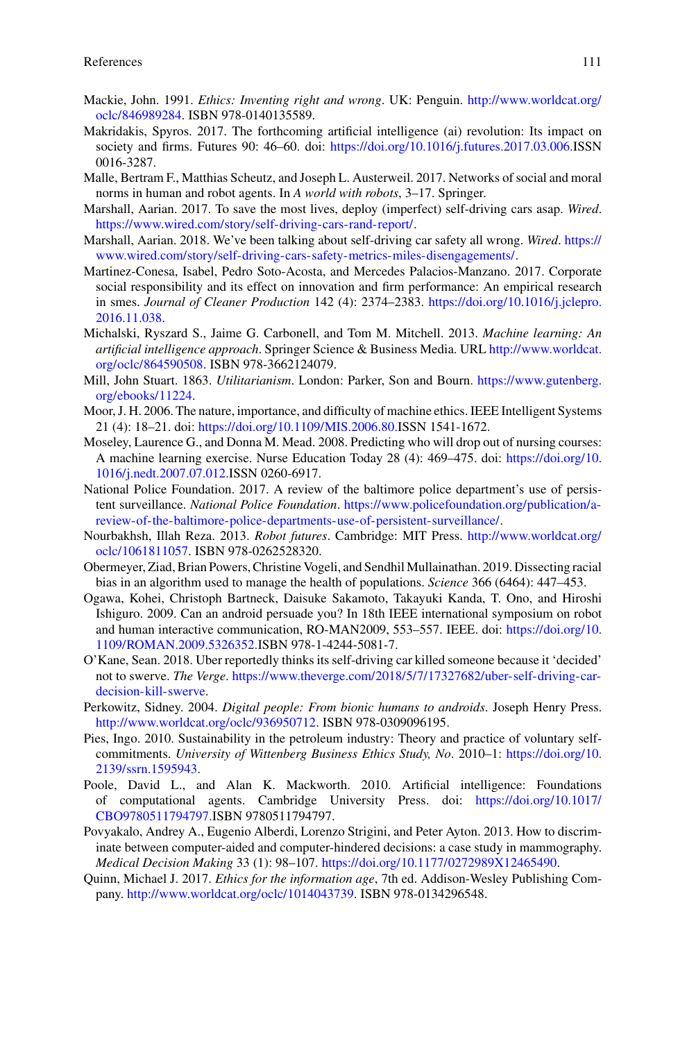- Mackie, John. 1991. *Ethics: Inventing right and wrong*. UK: Penguin. [http://www.worldcat.org/](http://www.worldcat.org/oclc/846989284) [oclc/846989284.](http://www.worldcat.org/oclc/846989284) ISBN 978-0140135589.
- Makridakis, Spyros. 2017. The forthcoming artificial intelligence (ai) revolution: Its impact on society and firms. Futures 90: 46–60. doi: [https://doi.org/10.1016/j.futures.2017.03.006.I](https://doi.org/10.1016/j.futures.2017.03.006.)SSN 0016-3287.
- Malle, Bertram F., Matthias Scheutz, and Joseph L. Austerweil. 2017. Networks of social and moral norms in human and robot agents. In *A world with robots*, 3–17. Springer.
- Marshall, Aarian. 2017. To save the most lives, deploy (imperfect) self-driving cars asap. *Wired*. [https://www.wired.com/story/self-driving-cars-rand-report/.](https://www.wired.com/story/self-driving-cars-rand-report/)
- Marshall, Aarian. 2018. We've been talking about self-driving car safety all wrong. *Wired*. [https://](https://www.wired.com/story/self-driving-cars-safety-metrics-miles-disengagements/) [www.wired.com/story/self-driving-cars-safety-metrics-miles-disengagements/.](https://www.wired.com/story/self-driving-cars-safety-metrics-miles-disengagements/)
- Martinez-Conesa, Isabel, Pedro Soto-Acosta, and Mercedes Palacios-Manzano. 2017. Corporate social responsibility and its effect on innovation and firm performance: An empirical research in smes. *Journal of Cleaner Production* 142 (4): 2374–2383. [https://doi.org/10.1016/j.jclepro.](https://doi.org/10.1016/j.jclepro.2016.11.038) [2016.11.038.](https://doi.org/10.1016/j.jclepro.2016.11.038)
- Michalski, Ryszard S., Jaime G. Carbonell, and Tom M. Mitchell. 2013. *Machine learning: An artificial intelligence approach*. Springer Science & Business Media. URL [http://www.worldcat.](http://www.worldcat.org/oclc/864590508) [org/oclc/864590508.](http://www.worldcat.org/oclc/864590508) ISBN 978-3662124079.
- Mill, John Stuart. 1863. *Utilitarianism*. London: Parker, Son and Bourn. [https://www.gutenberg.](https://www.gutenberg.org/ebooks/11224) [org/ebooks/11224.](https://www.gutenberg.org/ebooks/11224)
- Moor, J. H. 2006. The nature, importance, and difficulty of machine ethics. IEEE Intelligent Systems 21 (4): 18–21. doi: [https://doi.org/10.1109/MIS.2006.80.I](https://doi.org/10.1109/MIS.2006.80.)SSN 1541-1672.
- Moseley, Laurence G., and Donna M. Mead. 2008. Predicting who will drop out of nursing courses: A machine learning exercise. Nurse Education Today 28 (4): 469–475. doi: [https://doi.org/10.](https://doi.org/10.1016/j.nedt.2007.07.012.) [1016/j.nedt.2007.07.012.I](https://doi.org/10.1016/j.nedt.2007.07.012.)SSN 0260-6917.
- National Police Foundation. 2017. A review of the baltimore police department's use of persistent surveillance. *National Police Foundation*. [https://www.policefoundation.org/publication/a](https://www.policefoundation.org/publication/a-review-of-the-baltimore-police-departments-use-of-persistent-surveillance/)[review-of-the-baltimore-police-departments-use-of-persistent-surveillance/.](https://www.policefoundation.org/publication/a-review-of-the-baltimore-police-departments-use-of-persistent-surveillance/)
- Nourbakhsh, Illah Reza. 2013. *Robot futures*. Cambridge: MIT Press. [http://www.worldcat.org/](http://www.worldcat.org/oclc/1061811057) [oclc/1061811057.](http://www.worldcat.org/oclc/1061811057) ISBN 978-0262528320.
- Obermeyer, Ziad, Brian Powers, Christine Vogeli, and Sendhil Mullainathan. 2019. Dissecting racial bias in an algorithm used to manage the health of populations. *Science* 366 (6464): 447–453.
- Ogawa, Kohei, Christoph Bartneck, Daisuke Sakamoto, Takayuki Kanda, T. Ono, and Hiroshi Ishiguro. 2009. Can an android persuade you? In 18th IEEE international symposium on robot and human interactive communication, RO-MAN2009, 553–557. IEEE. doi: [https://doi.org/10.](https://doi.org/10.1109/ROMAN.2009.5326352.) [1109/ROMAN.2009.5326352.I](https://doi.org/10.1109/ROMAN.2009.5326352.)SBN 978-1-4244-5081-7.
- O'Kane, Sean. 2018. Uber reportedly thinks its self-driving car killed someone because it 'decided' not to swerve. *The Verge*. [https://www.theverge.com/2018/5/7/17327682/uber-self-driving-car](https://www.theverge.com/2018/5/7/17327682/uber-self-driving-car-decision-kill-swerve)[decision-kill-swerve.](https://www.theverge.com/2018/5/7/17327682/uber-self-driving-car-decision-kill-swerve)
- Perkowitz, Sidney. 2004. *Digital people: From bionic humans to androids*. Joseph Henry Press. [http://www.worldcat.org/oclc/936950712.](http://www.worldcat.org/oclc/936950712) ISBN 978-0309096195.
- Pies, Ingo. 2010. Sustainability in the petroleum industry: Theory and practice of voluntary selfcommitments. *University of Wittenberg Business Ethics Study, No*. 2010–1: [https://doi.org/10.](https://doi.org/10.2139/ssrn.1595943) [2139/ssrn.1595943.](https://doi.org/10.2139/ssrn.1595943)
- Poole, David L., and Alan K. Mackworth. 2010. Artificial intelligence: Foundations of computational agents. Cambridge University Press. doi: [https://doi.org/10.1017/](https://doi.org/10.1017/CBO9780511794797.) [CBO9780511794797.I](https://doi.org/10.1017/CBO9780511794797.)SBN 9780511794797.
- Povyakalo, Andrey A., Eugenio Alberdi, Lorenzo Strigini, and Peter Ayton. 2013. How to discriminate between computer-aided and computer-hindered decisions: a case study in mammography. *Medical Decision Making* 33 (1): 98–107. [https://doi.org/10.1177/0272989X12465490.](https://doi.org/10.1177/0272989X12465490)
- Quinn, Michael J. 2017. *Ethics for the information age*, 7th ed. Addison-Wesley Publishing Company. [http://www.worldcat.org/oclc/1014043739.](http://www.worldcat.org/oclc/1014043739) ISBN 978-0134296548.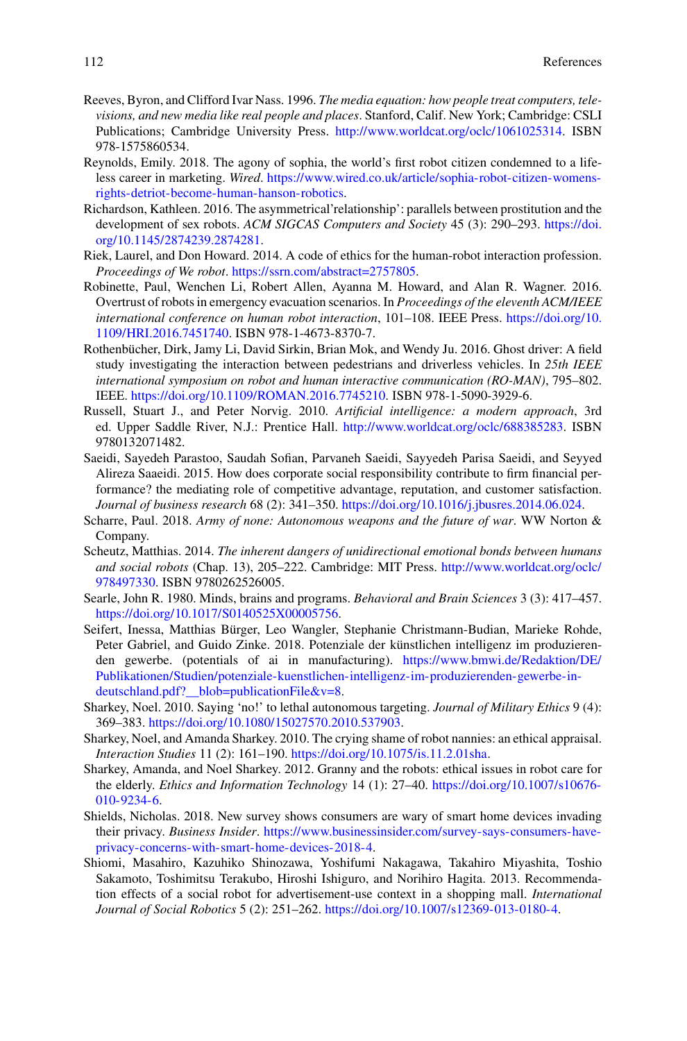- Reeves, Byron, and Clifford Ivar Nass. 1996. *The media equation: how people treat computers, televisions, and new media like real people and places*. Stanford, Calif. New York; Cambridge: CSLI Publications; Cambridge University Press. [http://www.worldcat.org/oclc/1061025314.](http://www.worldcat.org/oclc/1061025314) ISBN 978-1575860534.
- Reynolds, Emily. 2018. The agony of sophia, the world's first robot citizen condemned to a lifeless career in marketing. *Wired*. [https://www.wired.co.uk/article/sophia-robot-citizen-womens](https://www.wired.co.uk/article/sophia-robot-citizen-womens-rights-detriot-become-human-hanson-robotics)[rights-detriot-become-human-hanson-robotics.](https://www.wired.co.uk/article/sophia-robot-citizen-womens-rights-detriot-become-human-hanson-robotics)
- Richardson, Kathleen. 2016. The asymmetrical'relationship': parallels between prostitution and the development of sex robots. *ACM SIGCAS Computers and Society* 45 (3): 290–293. [https://doi.](https://doi.org/10.1145/2874239.2874281) [org/10.1145/2874239.2874281.](https://doi.org/10.1145/2874239.2874281)
- Riek, Laurel, and Don Howard. 2014. A code of ethics for the human-robot interaction profession. *Proceedings of We robot*. [https://ssrn.com/abstract=2757805.](https://ssrn.com/abstract=2757805)
- Robinette, Paul, Wenchen Li, Robert Allen, Ayanna M. Howard, and Alan R. Wagner. 2016. Overtrust of robots in emergency evacuation scenarios. In *Proceedings of the eleventh ACM/IEEE international conference on human robot interaction*, 101–108. IEEE Press. [https://doi.org/10.](https://doi.org/10.1109/HRI.2016.7451740) [1109/HRI.2016.7451740.](https://doi.org/10.1109/HRI.2016.7451740) ISBN 978-1-4673-8370-7.
- Rothenbücher, Dirk, Jamy Li, David Sirkin, Brian Mok, and Wendy Ju. 2016. Ghost driver: A field study investigating the interaction between pedestrians and driverless vehicles. In *25th IEEE international symposium on robot and human interactive communication (RO-MAN)*, 795–802. IEEE. [https://doi.org/10.1109/ROMAN.2016.7745210.](https://doi.org/10.1109/ROMAN.2016.7745210) ISBN 978-1-5090-3929-6.
- Russell, Stuart J., and Peter Norvig. 2010. *Artificial intelligence: a modern approach*, 3rd ed. Upper Saddle River, N.J.: Prentice Hall. [http://www.worldcat.org/oclc/688385283.](http://www.worldcat.org/oclc/688385283) ISBN 9780132071482.
- Saeidi, Sayedeh Parastoo, Saudah Sofian, Parvaneh Saeidi, Sayyedeh Parisa Saeidi, and Seyyed Alireza Saaeidi. 2015. How does corporate social responsibility contribute to firm financial performance? the mediating role of competitive advantage, reputation, and customer satisfaction. *Journal of business research* 68 (2): 341–350. [https://doi.org/10.1016/j.jbusres.2014.06.024.](https://doi.org/10.1016/j.jbusres.2014.06.024)
- Scharre, Paul. 2018. *Army of none: Autonomous weapons and the future of war*. WW Norton & Company.
- Scheutz, Matthias. 2014. *The inherent dangers of unidirectional emotional bonds between humans and social robots* (Chap. 13), 205–222. Cambridge: MIT Press. [http://www.worldcat.org/oclc/](http://www.worldcat.org/oclc/978497330) [978497330.](http://www.worldcat.org/oclc/978497330) ISBN 9780262526005.
- Searle, John R. 1980. Minds, brains and programs. *Behavioral and Brain Sciences* 3 (3): 417–457. [https://doi.org/10.1017/S0140525X00005756.](https://doi.org/10.1017/S0140525X00005756)
- Seifert, Inessa, Matthias Bürger, Leo Wangler, Stephanie Christmann-Budian, Marieke Rohde, Peter Gabriel, and Guido Zinke. 2018. Potenziale der künstlichen intelligenz im produzierenden gewerbe. (potentials of ai in manufacturing). [https://www.bmwi.de/Redaktion/DE/](https://www.bmwi.de/Redaktion/DE/Publikationen/Studien/potenziale-kuenstlichen-intelligenz-im-produzierenden-gewerbe-in-deutschland.pdf?__blob=publicationFile&v=8) [Publikationen/Studien/potenziale-kuenstlichen-intelligenz-im-produzierenden-gewerbe-in](https://www.bmwi.de/Redaktion/DE/Publikationen/Studien/potenziale-kuenstlichen-intelligenz-im-produzierenden-gewerbe-in-deutschland.pdf?__blob=publicationFile&v=8)[deutschland.pdf?\\_\\_blob=publicationFile&v=8.](https://www.bmwi.de/Redaktion/DE/Publikationen/Studien/potenziale-kuenstlichen-intelligenz-im-produzierenden-gewerbe-in-deutschland.pdf?__blob=publicationFile&v=8)
- Sharkey, Noel. 2010. Saying 'no!' to lethal autonomous targeting. *Journal of Military Ethics* 9 (4): 369–383. [https://doi.org/10.1080/15027570.2010.537903.](https://doi.org/10.1080/15027570.2010.537903)
- Sharkey, Noel, and Amanda Sharkey. 2010. The crying shame of robot nannies: an ethical appraisal. *Interaction Studies* 11 (2): 161–190. [https://doi.org/10.1075/is.11.2.01sha.](https://doi.org/10.1075/is.11.2.01sha)
- Sharkey, Amanda, and Noel Sharkey. 2012. Granny and the robots: ethical issues in robot care for the elderly. *Ethics and Information Technology* 14 (1): 27–40. [https://doi.org/10.1007/s10676-](https://doi.org/10.1007/s10676-010-9234-6) [010-9234-6.](https://doi.org/10.1007/s10676-010-9234-6)
- Shields, Nicholas. 2018. New survey shows consumers are wary of smart home devices invading their privacy. *Business Insider*. [https://www.businessinsider.com/survey-says-consumers-have](https://www.businessinsider.com/survey-says-consumers-have-privacy-concerns-with-smart-home-devices-2018-4)[privacy-concerns-with-smart-home-devices-2018-4.](https://www.businessinsider.com/survey-says-consumers-have-privacy-concerns-with-smart-home-devices-2018-4)
- Shiomi, Masahiro, Kazuhiko Shinozawa, Yoshifumi Nakagawa, Takahiro Miyashita, Toshio Sakamoto, Toshimitsu Terakubo, Hiroshi Ishiguro, and Norihiro Hagita. 2013. Recommendation effects of a social robot for advertisement-use context in a shopping mall. *International Journal of Social Robotics* 5 (2): 251–262. [https://doi.org/10.1007/s12369-013-0180-4.](https://doi.org/10.1007/s12369-013-0180-4)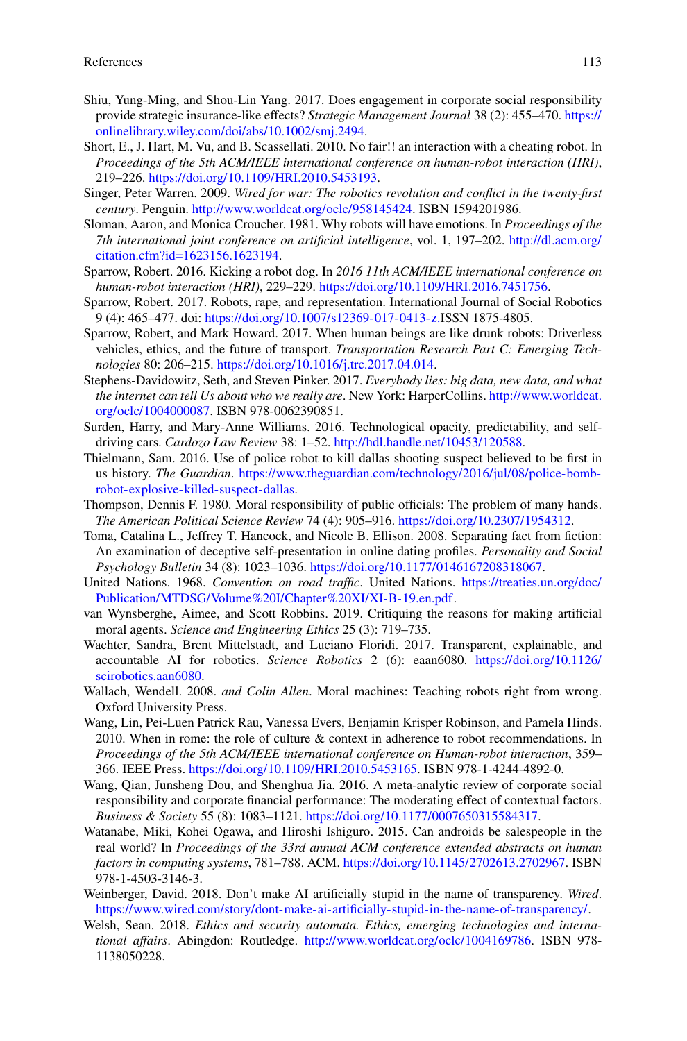- Shiu, Yung-Ming, and Shou-Lin Yang. 2017. Does engagement in corporate social responsibility provide strategic insurance-like effects? *Strategic Management Journal* 38 (2): 455–470. [https://](https://onlinelibrary.wiley.com/doi/abs/10.1002/smj.2494) [onlinelibrary.wiley.com/doi/abs/10.1002/smj.2494.](https://onlinelibrary.wiley.com/doi/abs/10.1002/smj.2494)
- Short, E., J. Hart, M. Vu, and B. Scassellati. 2010. No fair!! an interaction with a cheating robot. In *Proceedings of the 5th ACM/IEEE international conference on human-robot interaction (HRI)*, 219–226. [https://doi.org/10.1109/HRI.2010.5453193.](https://doi.org/10.1109/HRI.2010.5453193)
- Singer, Peter Warren. 2009. *Wired for war: The robotics revolution and conflict in the twenty-first century*. Penguin. [http://www.worldcat.org/oclc/958145424.](http://www.worldcat.org/oclc/958145424) ISBN 1594201986.
- Sloman, Aaron, and Monica Croucher. 1981. Why robots will have emotions. In *Proceedings of the 7th international joint conference on artificial intelligence*, vol. 1, 197–202. [http://dl.acm.org/](http://dl.acm.org/citation.cfm?id=1623156.1623194) [citation.cfm?id=1623156.1623194.](http://dl.acm.org/citation.cfm?id=1623156.1623194)
- Sparrow, Robert. 2016. Kicking a robot dog. In *2016 11th ACM/IEEE international conference on human-robot interaction (HRI)*, 229–229. [https://doi.org/10.1109/HRI.2016.7451756.](https://doi.org/10.1109/HRI.2016.7451756)
- Sparrow, Robert. 2017. Robots, rape, and representation. International Journal of Social Robotics 9 (4): 465–477. doi: [https://doi.org/10.1007/s12369-017-0413-z.I](https://doi.org/10.1007/s12369-017-0413-z.)SSN 1875-4805.
- Sparrow, Robert, and Mark Howard. 2017. When human beings are like drunk robots: Driverless vehicles, ethics, and the future of transport. *Transportation Research Part C: Emerging Technologies* 80: 206–215. [https://doi.org/10.1016/j.trc.2017.04.014.](https://doi.org/10.1016/j.trc.2017.04.014)
- Stephens-Davidowitz, Seth, and Steven Pinker. 2017. *Everybody lies: big data, new data, and what the internet can tell Us about who we really are*. New York: HarperCollins. [http://www.worldcat.](http://www.worldcat.org/oclc/1004000087) [org/oclc/1004000087.](http://www.worldcat.org/oclc/1004000087) ISBN 978-0062390851.
- Surden, Harry, and Mary-Anne Williams. 2016. Technological opacity, predictability, and selfdriving cars. *Cardozo Law Review* 38: 1–52. [http://hdl.handle.net/10453/120588.](http://hdl.handle.net/10453/120588)
- Thielmann, Sam. 2016. Use of police robot to kill dallas shooting suspect believed to be first in us history. *The Guardian*. [https://www.theguardian.com/technology/2016/jul/08/police-bomb](https://www.theguardian.com/technology/2016/jul/08/police-bomb-robot-explosive-killed-suspect-dallas)[robot-explosive-killed-suspect-dallas.](https://www.theguardian.com/technology/2016/jul/08/police-bomb-robot-explosive-killed-suspect-dallas)
- Thompson, Dennis F. 1980. Moral responsibility of public officials: The problem of many hands. *The American Political Science Review* 74 (4): 905–916. [https://doi.org/10.2307/1954312.](https://doi.org/10.2307/1954312)
- Toma, Catalina L., Jeffrey T. Hancock, and Nicole B. Ellison. 2008. Separating fact from fiction: An examination of deceptive self-presentation in online dating profiles. *Personality and Social Psychology Bulletin* 34 (8): 1023–1036. [https://doi.org/10.1177/0146167208318067.](https://doi.org/10.1177/0146167208318067)
- United Nations. 1968. *Convention on road traffic*. United Nations. [https://treaties.un.org/doc/](https://treaties.un.org/doc/Publication/MTDSG/Volume%20I/Chapter%20XI/XI-B-19.en.pdf) [Publication/MTDSG/Volume%20I/Chapter%20XI/XI-B-19.en.pdf.](https://treaties.un.org/doc/Publication/MTDSG/Volume%20I/Chapter%20XI/XI-B-19.en.pdf)
- van Wynsberghe, Aimee, and Scott Robbins. 2019. Critiquing the reasons for making artificial moral agents. *Science and Engineering Ethics* 25 (3): 719–735.
- Wachter, Sandra, Brent Mittelstadt, and Luciano Floridi. 2017. Transparent, explainable, and accountable AI for robotics. *Science Robotics* 2 (6): eaan6080. [https://doi.org/10.1126/](https://doi.org/10.1126/scirobotics.aan6080) [scirobotics.aan6080.](https://doi.org/10.1126/scirobotics.aan6080)
- Wallach, Wendell. 2008. *and Colin Allen*. Moral machines: Teaching robots right from wrong. Oxford University Press.
- Wang, Lin, Pei-Luen Patrick Rau, Vanessa Evers, Benjamin Krisper Robinson, and Pamela Hinds. 2010. When in rome: the role of culture & context in adherence to robot recommendations. In *Proceedings of the 5th ACM/IEEE international conference on Human-robot interaction*, 359– 366. IEEE Press. [https://doi.org/10.1109/HRI.2010.5453165.](https://doi.org/10.1109/HRI.2010.5453165) ISBN 978-1-4244-4892-0.
- Wang, Qian, Junsheng Dou, and Shenghua Jia. 2016. A meta-analytic review of corporate social responsibility and corporate financial performance: The moderating effect of contextual factors. *Business & Society* 55 (8): 1083–1121. [https://doi.org/10.1177/0007650315584317.](https://doi.org/10.1177/0007650315584317)
- Watanabe, Miki, Kohei Ogawa, and Hiroshi Ishiguro. 2015. Can androids be salespeople in the real world? In *Proceedings of the 33rd annual ACM conference extended abstracts on human factors in computing systems*, 781–788. ACM. [https://doi.org/10.1145/2702613.2702967.](https://doi.org/10.1145/2702613.2702967) ISBN 978-1-4503-3146-3.
- Weinberger, David. 2018. Don't make AI artificially stupid in the name of transparency. *Wired*. [https://www.wired.com/story/dont-make-ai-artificially-stupid-in-the-name-of-transparency/.](https://www.wired.com/story/dont-make-ai-artificially-stupid-in-the-name-of-transparency/)
- Welsh, Sean. 2018. *Ethics and security automata. Ethics, emerging technologies and international affairs*. Abingdon: Routledge. [http://www.worldcat.org/oclc/1004169786.](http://www.worldcat.org/oclc/1004169786) ISBN 978- 1138050228.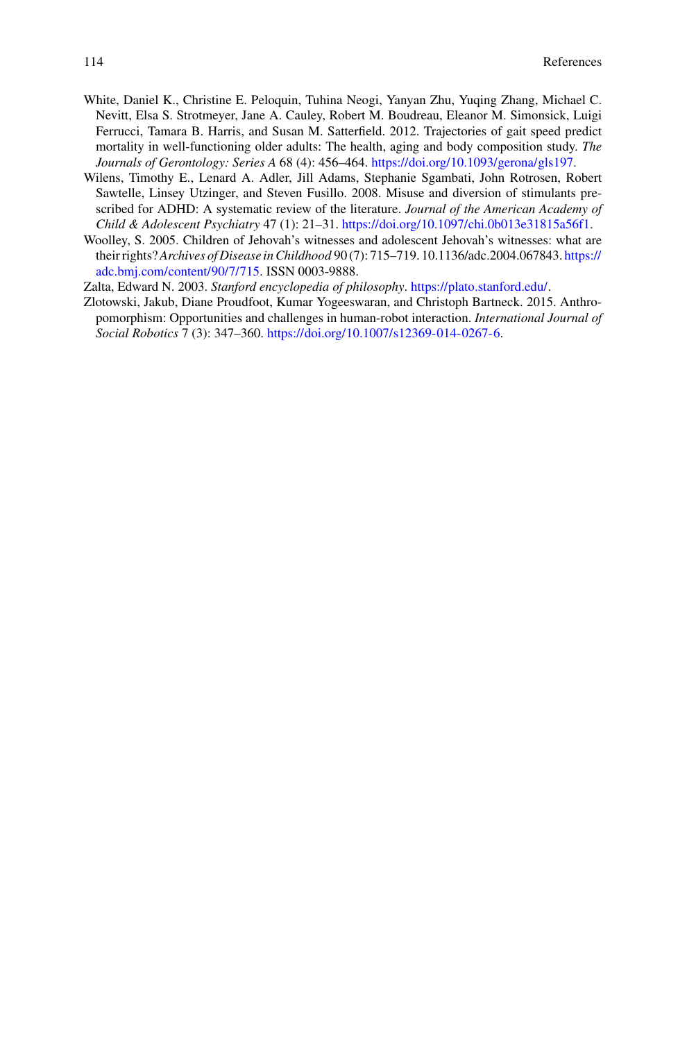- White, Daniel K., Christine E. Peloquin, Tuhina Neogi, Yanyan Zhu, Yuqing Zhang, Michael C. Nevitt, Elsa S. Strotmeyer, Jane A. Cauley, Robert M. Boudreau, Eleanor M. Simonsick, Luigi Ferrucci, Tamara B. Harris, and Susan M. Satterfield. 2012. Trajectories of gait speed predict mortality in well-functioning older adults: The health, aging and body composition study. *The Journals of Gerontology: Series A* 68 (4): 456–464. [https://doi.org/10.1093/gerona/gls197.](https://doi.org/10.1093/gerona/gls197)
- Wilens, Timothy E., Lenard A. Adler, Jill Adams, Stephanie Sgambati, John Rotrosen, Robert Sawtelle, Linsey Utzinger, and Steven Fusillo. 2008. Misuse and diversion of stimulants prescribed for ADHD: A systematic review of the literature. *Journal of the American Academy of Child & Adolescent Psychiatry* 47 (1): 21–31. [https://doi.org/10.1097/chi.0b013e31815a56f1.](https://doi.org/10.1097/chi.0b013e31815a56f1)
- Woolley, S. 2005. Children of Jehovah's witnesses and adolescent Jehovah's witnesses: what are their rights?*Archives of Disease in Childhood* 90 (7): 715–719. 10.1136/adc.2004.067843. [https://](https://adc.bmj.com/content/90/7/715) [adc.bmj.com/content/90/7/715.](https://adc.bmj.com/content/90/7/715) ISSN 0003-9888.

Zalta, Edward N. 2003. *Stanford encyclopedia of philosophy*. [https://plato.stanford.edu/.](https://plato.stanford.edu/)

Zlotowski, Jakub, Diane Proudfoot, Kumar Yogeeswaran, and Christoph Bartneck. 2015. Anthropomorphism: Opportunities and challenges in human-robot interaction. *International Journal of Social Robotics* 7 (3): 347–360. [https://doi.org/10.1007/s12369-014-0267-6.](https://doi.org/10.1007/s12369-014-0267-6)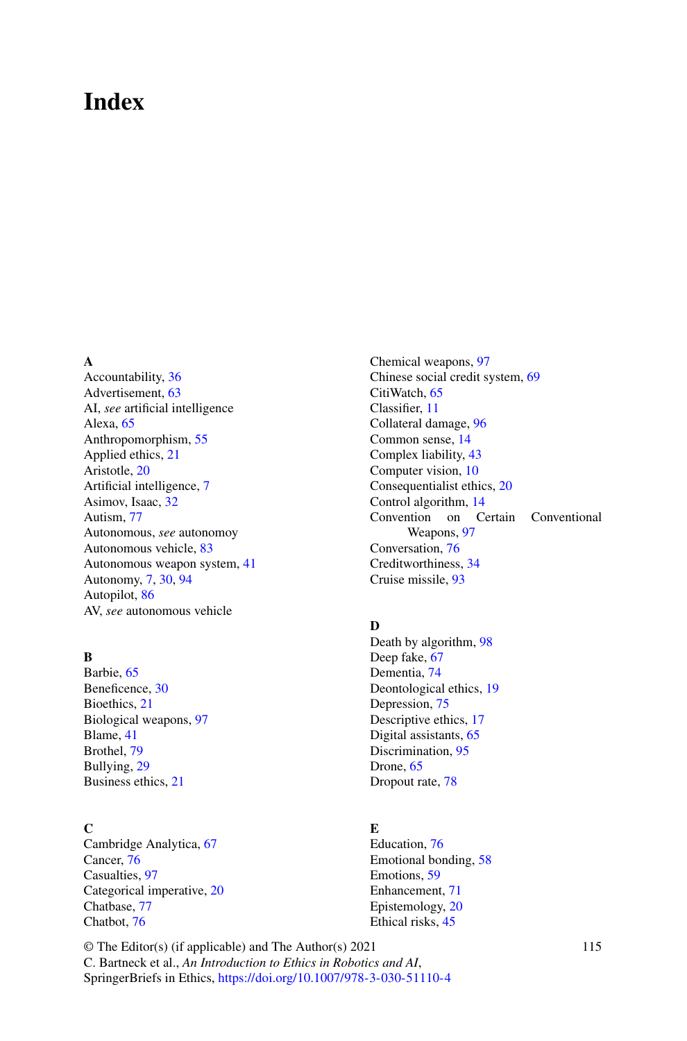# **Index**

### **A**

Accountability, 36 Advertisement, 63 AI, *see* artificial intelligence Alexa, 65 Anthropomorphism, 55 Applied ethics, 21 Aristotle, 20 Artificial intelligence, 7 Asimov, Isaac, 32 Autism, 77 Autonomous, *see* autonomoy Autonomous vehicle, 83 Autonomous weapon system, 41 Autonomy, 7, 30, 94 Autopilot, 86 AV, *see* autonomous vehicle

### **B**

Barbie, 65 Beneficence, 30 Bioethics, 21 Biological weapons, 97 Blame, 41 Brothel, 79 Bullying, 29 Business ethics, 21

### **C**

Cambridge Analytica, 67 Cancer, 76 Casualties, 97 Categorical imperative, 20 Chatbase, 77 Chatbot, 76

Chemical weapons, 97 Chinese social credit system, 69 CitiWatch, 65 Classifier, 11 Collateral damage, 96 Common sense, 14 Complex liability, 43 Computer vision, 10 Consequentialist ethics, 20 Control algorithm, 14 Convention on Certain Conventional Weapons, 97 Conversation, 76 Creditworthiness, 34 Cruise missile, 93

### **D**

Death by algorithm, 98 Deep fake, 67 Dementia, 74 Deontological ethics, 19 Depression, 75 Descriptive ethics, 17 Digital assistants, 65 Discrimination, 95 Drone, 65 Dropout rate, 78

## **E**

Education, 76 Emotional bonding, 58 Emotions, 59 Enhancement, 71 Epistemology, 20 Ethical risks, 45

© The Editor(s) (if applicable) and The Author(s) 2021 C. Bartneck et al., *An Introduction to Ethics in Robotics and AI*, SpringerBriefs in Ethics, <https://doi.org/10.1007/978-3-030-51110-4>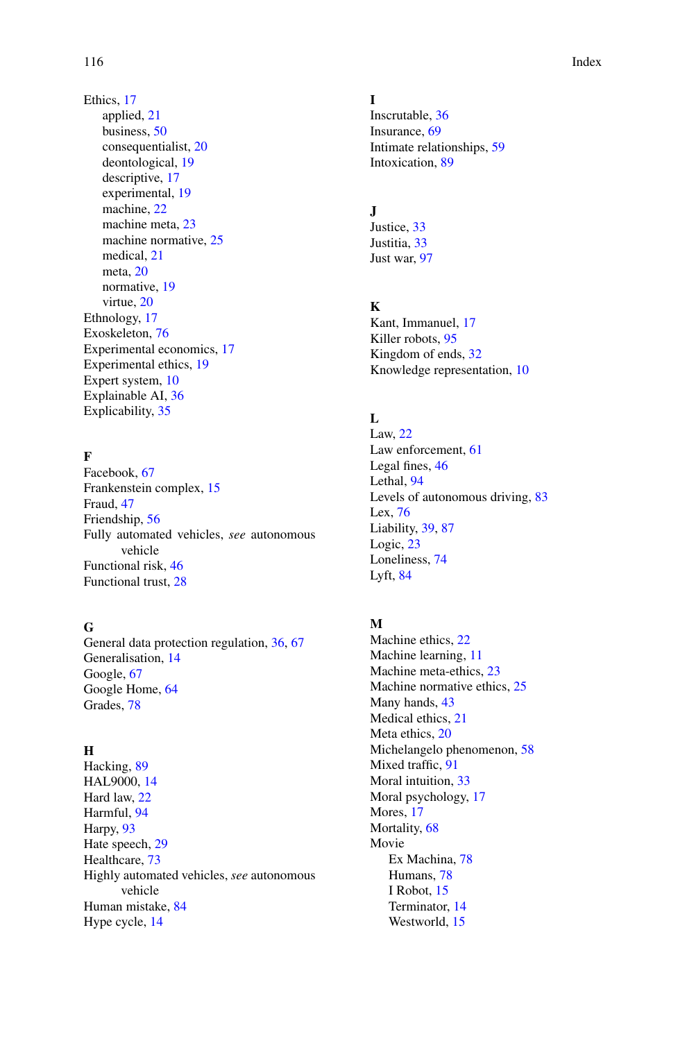Ethics, 17 applied, 21 business, 50 consequentialist, 20 deontological, 19 descriptive, 17 experimental, 19 machine, 22 machine meta, 23 machine normative, 25 medical, 21 meta, 20 normative, 19 virtue, 20 Ethnology, 17 Exoskeleton, 76 Experimental economics, 17 Experimental ethics, 19 Expert system, 10 Explainable AI, 36 Explicability, 35

# **F**

Facebook, 67 Frankenstein complex, 15 Fraud, 47 Friendship, 56 Fully automated vehicles, *see* autonomous vehicle Functional risk, 46 Functional trust, 28

### **G**

General data protection regulation, 36, 67 Generalisation, 14 Google, 67 Google Home, 64 Grades, 78

### **H**

Hacking, 89 HAL9000, 14 Hard law, 22 Harmful, 94 Harpy, 93 Hate speech, 29 Healthcare, 73 Highly automated vehicles, *see* autonomous vehicle Human mistake, 84 Hype cycle, 14

### **I**

Inscrutable, 36 Insurance, 69 Intimate relationships, 59 Intoxication, 89

# **J**

Justice, 33 Justitia, 33 Just war, 97

### **K**

Kant, Immanuel, 17 Killer robots, 95 Kingdom of ends, 32 Knowledge representation, 10

# **L**

Law, 22 Law enforcement, 61 Legal fines, 46 Lethal, 94 Levels of autonomous driving, 83 Lex, 76 Liability, 39, 87 Logic, 23 Loneliness, 74 Lyft, 84

### **M**

Machine ethics, 22 Machine learning, 11 Machine meta-ethics, 23 Machine normative ethics, 25 Many hands, 43 Medical ethics, 21 Meta ethics, 20 Michelangelo phenomenon, 58 Mixed traffic, 91 Moral intuition, 33 Moral psychology, 17 Mores, 17 Mortality, 68 Movie Ex Machina, 78 Humans, 78 I Robot, 15 Terminator, 14 Westworld, 15